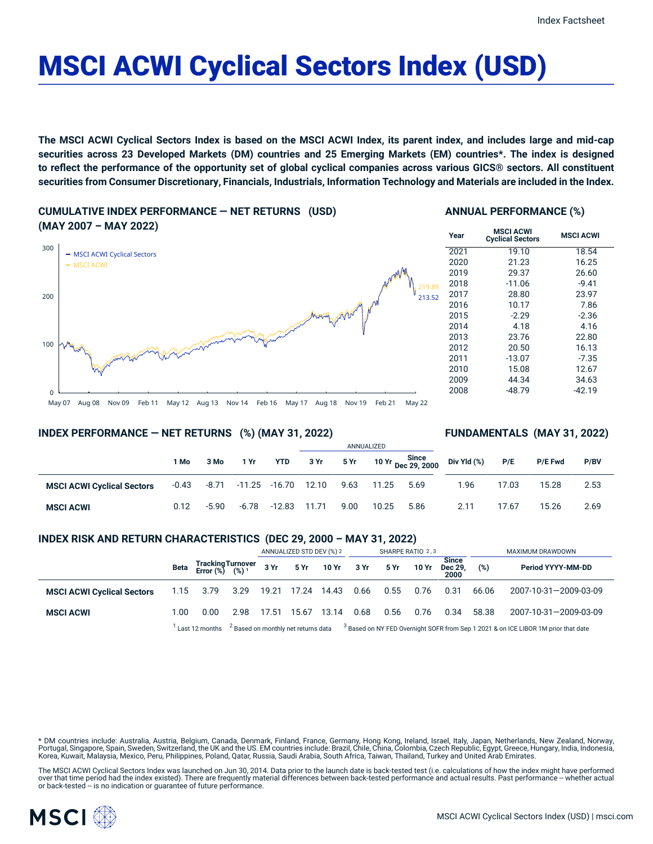# MSCI ACWI Cyclical Sectors Index (USD)

The MSCI ACWI Cyclical Sectors Index is based on the MSCI ACWI Index, its parent index, and includes large and mid-cap securities across 23 Developed Markets (DM) countries and 25 Emerging Markets (EM) countries\*. The index is designed to reflect the performance of the opportunity set of global cyclical companies across various GICS® sectors. All constituent securities from Consumer Discretionary, Financials, Industrials, Information Technology and Materials are included in the Index.

**CUMULATIVE INDEX PERFORMANCE — NET RETURNS (USD) (MAY 2007 – MAY 2022)**



## **ANNUAL PERFORMANCE (%)**

| Year | <b>MSCI ACWI</b><br><b>Cyclical Sectors</b> | <b>MSCI ACWI</b> |
|------|---------------------------------------------|------------------|
| 2021 | 19.10                                       | 18.54            |
| 2020 | 21.23                                       | 16.25            |
| 2019 | 29.37                                       | 26.60            |
| 2018 | $-11.06$                                    | $-9.41$          |
| 2017 | 28.80                                       | 23.97            |
| 2016 | 10.17                                       | 7.86             |
| 2015 | $-2.29$                                     | $-2.36$          |
| 2014 | 4.18                                        | 4.16             |
| 2013 | 23.76                                       | 22.80            |
| 2012 | 20.50                                       | 16.13            |
| 2011 | $-13.07$                                    | $-7.35$          |
| 2010 | 15.08                                       | 12.67            |
| 2009 | 44.34                                       | 34.63            |
| 2008 | -48.79                                      | -42.19           |

#### May 07 Aug 08 Nov 09 Feb 11 May 12 Aug 13 Nov 14 Feb 16 May 17 Aug 18 Nov 19 Feb 21 May 22

## **INDEX PERFORMANCE — NET RETURNS (%) (MAY 31, 2022)**

## **FUNDAMENTALS (MAY 31, 2022)**

|                                   |       |         |                           |              | ANNUALIZED |      |       |                             |             |       |                |      |
|-----------------------------------|-------|---------|---------------------------|--------------|------------|------|-------|-----------------------------|-------------|-------|----------------|------|
|                                   | 1 Mo  | 3 Mo    | 1 Yr                      | <b>YTD</b>   | 3 Yr       | 5 Yr |       | 10 Yr Since<br>Dec 29, 2000 | Div Yld (%) | P/E   | <b>P/E Fwd</b> | P/BV |
| <b>MSCI ACWI Cyclical Sectors</b> | -0.43 |         | -8.71 -11.25 -16.70 12.10 |              |            | 9.63 | 11.25 | 5.69                        | 1.96        | 17.03 | 15.28          | 2.53 |
| <b>MSCI ACWI</b>                  | 0.12  | $-5.90$ | $-6.78$                   | -12.83 11.71 |            | 9.00 | 10.25 | 5.86                        | 2.11        | 17.67 | 15.26          | 2.69 |

## **INDEX RISK AND RETURN CHARACTERISTICS (DEC 29, 2000 – MAY 31, 2022)**

|                                   |      |                                                 |                                                                                                                                  | ANNUALIZED STD DEV (%) 2 |             | SHARPE RATIO 2,3     |      |      |       | MAXIMUM DRAWDOWN                |       |                       |
|-----------------------------------|------|-------------------------------------------------|----------------------------------------------------------------------------------------------------------------------------------|--------------------------|-------------|----------------------|------|------|-------|---------------------------------|-------|-----------------------|
|                                   | Beta | Tracking Turnover<br>Error (%) (%) <sup>1</sup> |                                                                                                                                  |                          |             | 3 Yr 5 Yr 10 Yr 3 Yr |      | 5 Yr | 10 Yr | <b>Since</b><br>Dec 29.<br>2000 | (%)   | Period YYYY-MM-DD     |
| <b>MSCI ACWI Cyclical Sectors</b> |      | 1.15 3.79                                       | 3.29                                                                                                                             |                          | 19.21 17.24 | 14.43                | 0.66 | 0.55 | 0.76  | 0.31                            | 66.06 | 2007-10-31-2009-03-09 |
| <b>MSCI ACWI</b>                  | 1.00 | 0.00                                            | 2.98                                                                                                                             | 17.51                    | 15.67       | 13.14                | 0.68 | 0.56 | 0.76  | 0.34                            | 58.38 | 2007-10-31-2009-03-09 |
|                                   |      | Last 12 months                                  | $^{2}$ Based on monthly net returns data $^{3}$ Based on NY FED Overnight SOFR from Sep 1 2021 & on ICE LIBOR 1M prior that date |                          |             |                      |      |      |       |                                 |       |                       |

\* DM countries include: Australia, Austria, Belgium, Canada, Denmark, Finland, France, Germany, Hong Kong, Ireland, Israel, Italy, Japan, Netherlands, New Zealand, Norway, Portugal, Singapore, Spain, Sweden, Switzerland, the UK and the US. EM countries include: Brazil, Chile, China, Colombia, Czech Republic, Egypt, Greece, Hungary, India, Indonesia,<br>Korea, Kuwait, Malaysia, Mexico, Peru, Phi

The MSCI ACWI Cyclical Sectors Index was launched on Jun 30, 2014. Data prior to the launch date is back-tested test (i.e. calculations of how the index might have performed over that time period had the index existed). There are frequently material differences between back-tested performance and actual results. Past performance -- whether actual or back-tested -- is no indication or quarantee of future performance.

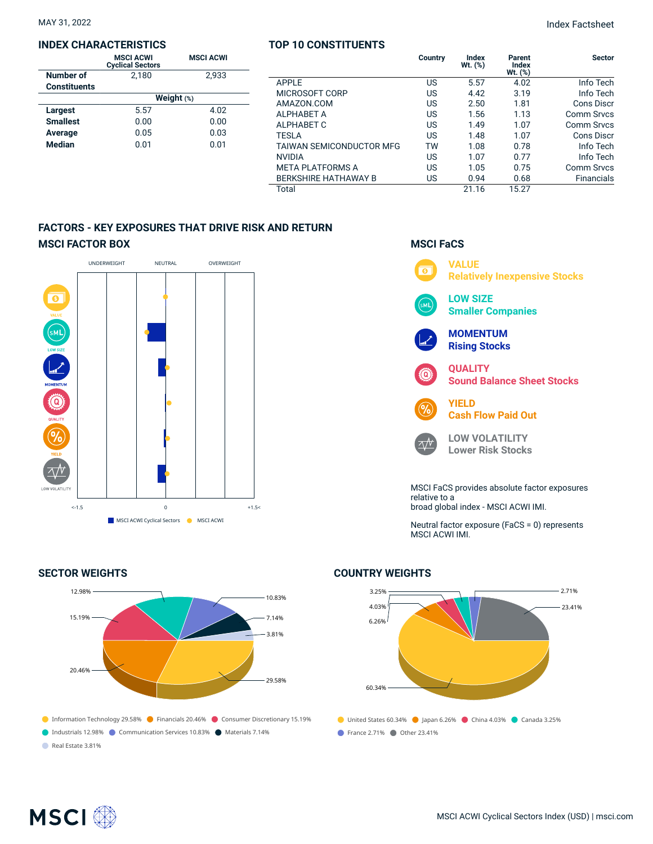#### **INDEX CHARACTERISTICS**

|                     | <b>MSCI ACWI</b><br><b>Cyclical Sectors</b> | <b>MSCI ACWI</b> |  |  |  |  |  |
|---------------------|---------------------------------------------|------------------|--|--|--|--|--|
| Number of           | 2.180                                       | 2.933            |  |  |  |  |  |
| <b>Constituents</b> |                                             |                  |  |  |  |  |  |
|                     | Weight $(*)$                                |                  |  |  |  |  |  |
| Largest             | 5.57                                        | 4.02             |  |  |  |  |  |
| <b>Smallest</b>     | 0.00                                        | 0.00             |  |  |  |  |  |
| Average             | 0.05                                        | 0.03             |  |  |  |  |  |
| <b>Median</b>       | 0.01                                        | 0.01             |  |  |  |  |  |

## **TOP 10 CONSTITUENTS**

|                                 | Country | <b>Index</b><br>Wt. (%) | Parent<br><b>Index</b><br>$Wt.$ $(\%)$ | <b>Sector</b>     |
|---------------------------------|---------|-------------------------|----------------------------------------|-------------------|
| <b>APPLE</b>                    | US      | 5.57                    | 4.02                                   | Info Tech         |
| MICROSOFT CORP                  | US      | 4.42                    | 3.19                                   | Info Tech         |
| AMAZON.COM                      | US      | 2.50                    | 1.81                                   | Cons Discr        |
| <b>ALPHABET A</b>               | US      | 1.56                    | 1.13                                   | <b>Comm Srvcs</b> |
| <b>ALPHABET C</b>               | US      | 1.49                    | 1.07                                   | Comm Srvcs        |
| <b>TESLA</b>                    | US      | 1.48                    | 1.07                                   | Cons Discr        |
| <b>TAIWAN SEMICONDUCTOR MFG</b> | TW      | 1.08                    | 0.78                                   | Info Tech         |
| <b>NVIDIA</b>                   | US      | 1.07                    | 0.77                                   | Info Tech         |
| <b>META PLATFORMS A</b>         | US      | 1.05                    | 0.75                                   | <b>Comm Srvcs</b> |
| <b>BERKSHIRE HATHAWAY B</b>     | US      | 0.94                    | 0.68                                   | <b>Financials</b> |
| Total                           |         | 21.16                   | 15.27                                  |                   |

## **FACTORS - KEY EXPOSURES THAT DRIVE RISK AND RETURN MSCI FACTOR BOX**



## **SECTOR WEIGHTS**



## **MSCI FaCS**



broad global index - MSCI ACWI IMI.

Neutral factor exposure (FaCS = 0) represents MSCI ACWI IMI.

## ● United States 60.34% ● Japan 6.26% ● China 4.03% ● Canada 3.25% **France 2.71% Other 23.41%** 3.25% 4.03% 6.26% 60.34%  $-2.71%$ 23.41%

## **COUNTRY WEIGHTS**